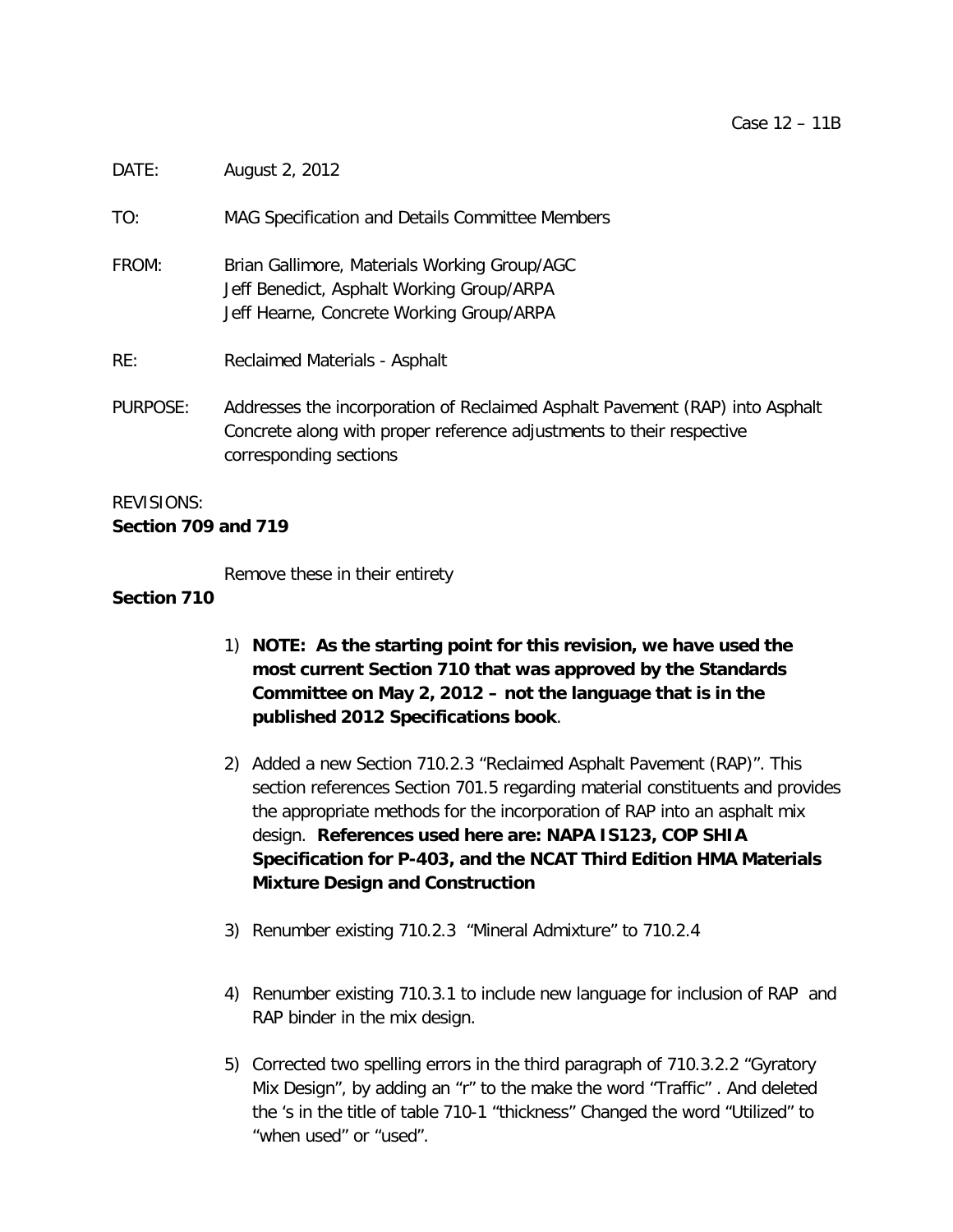| TO:               | MAG Specification and Details Committee Members                                                                                                                                |
|-------------------|--------------------------------------------------------------------------------------------------------------------------------------------------------------------------------|
| FROM:             | Brian Gallimore, Materials Working Group/AGC<br>Jeff Benedict, Asphalt Working Group/ARPA<br>Jeff Hearne, Concrete Working Group/ARPA                                          |
| RE:               | Reclaimed Materials - Asphalt                                                                                                                                                  |
| PURPOSE:          | Addresses the incorporation of Reclaimed Asphalt Pavement (RAP) into Asphalt<br>Concrete along with proper reference adjustments to their respective<br>corresponding sections |
| <b>REVISIONS:</b> |                                                                                                                                                                                |

# **Section 709 and 719**

DATE: August 2, 2012

Remove these in their entirety

## **Section 710**

- 1) **NOTE: As the starting point for this revision, we have used the most current Section 710 that was approved by the Standards Committee on May 2, 2012 – not the language that is in the published 2012 Specifications book**.
- 2) Added a new Section 710.2.3 "Reclaimed Asphalt Pavement (RAP)". This section references Section 701.5 regarding material constituents and provides the appropriate methods for the incorporation of RAP into an asphalt mix design. **References used here are: NAPA IS123, COP SHIA Specification for P-403, and the NCAT Third Edition HMA Materials Mixture Design and Construction**
- 3) Renumber existing 710.2.3 "Mineral Admixture" to 710.2.4
- 4) Renumber existing 710.3.1 to include new language for inclusion of RAP and RAP binder in the mix design.
- 5) Corrected two spelling errors in the third paragraph of 710.3.2.2 "Gyratory Mix Design", by adding an "r" to the make the word "Traffic" . And deleted the 's in the title of table 710-1 "thickness" Changed the word "Utilized" to "when used" or "used".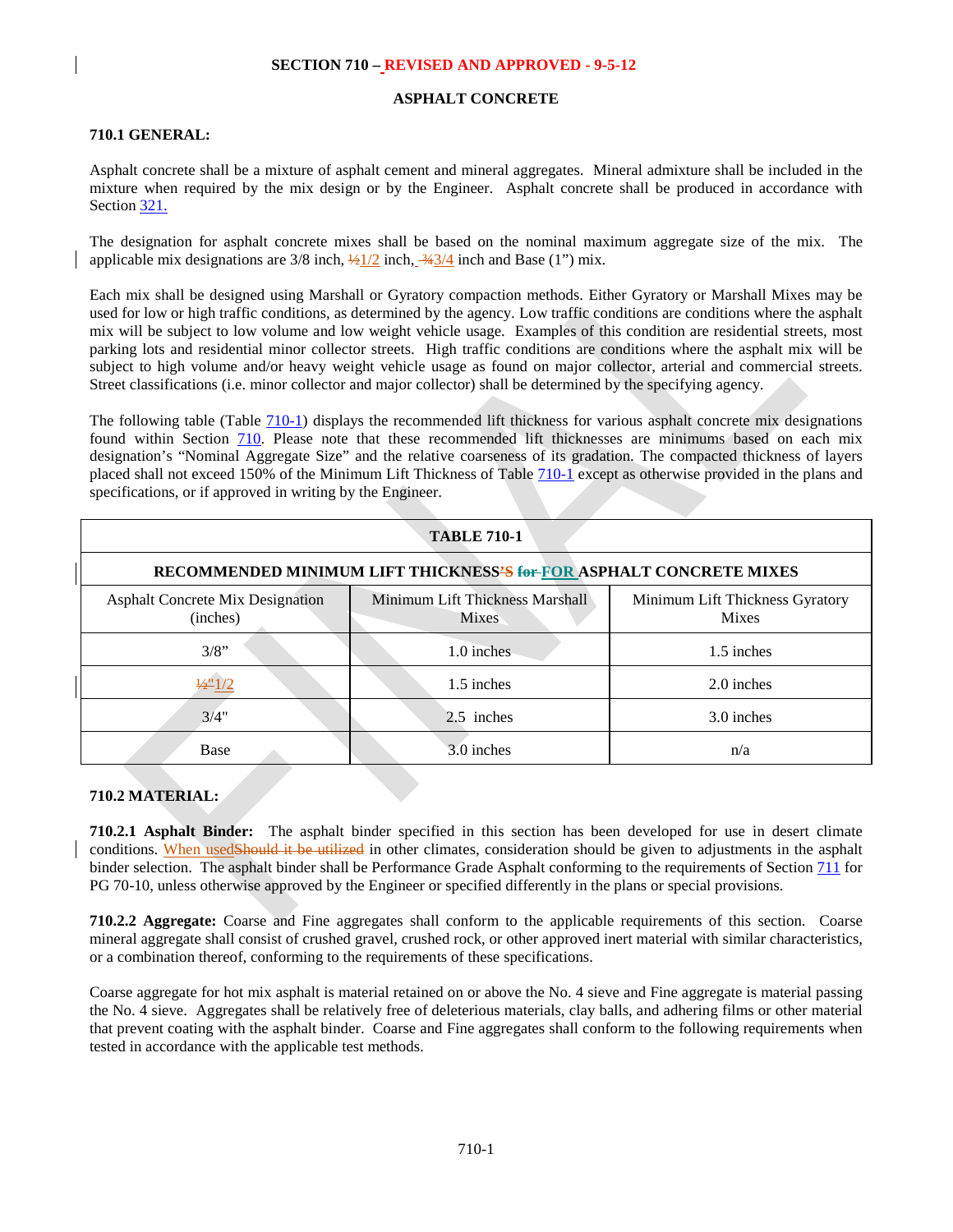#### **ASPHALT CONCRETE**

#### **710.1 GENERAL:**

Asphalt concrete shall be a mixture of asphalt cement and mineral aggregates. Mineral admixture shall be included in the mixture when required by the mix design or by the Engineer. Asphalt concrete shall be produced in accordance with Section 321.

The designation for asphalt concrete mixes shall be based on the nominal maximum aggregate size of the mix. The applicable mix designations are  $3/8$  inch,  $\frac{1}{2}/2$  inch,  $\frac{3}{4}$  inch and Base (1") mix.

Each mix shall be designed using Marshall or Gyratory compaction methods. Either Gyratory or Marshall Mixes may be used for low or high traffic conditions, as determined by the agency. Low traffic conditions are conditions where the asphalt mix will be subject to low volume and low weight vehicle usage. Examples of this condition are residential streets, most parking lots and residential minor collector streets. High traffic conditions are conditions where the asphalt mix will be subject to high volume and/or heavy weight vehicle usage as found on major collector, arterial and commercial streets. Street classifications (i.e. minor collector and major collector) shall be determined by the specifying agency.

The following table (Table [710-1\)](#page-1-0) displays the recommended lift thickness for various asphalt concrete mix designations found within Section 710. Please note that these recommended lift thicknesses are minimums based on each mix designation's "Nominal Aggregate Size" and the relative coarseness of its gradation. The compacted thickness of layers placed shall not exceed 150% of the Minimum Lift Thickness of Table [710-1](#page-1-0) except as otherwise provided in the plans and specifications, or if approved in writing by the Engineer.

<span id="page-1-0"></span>

| <b>TABLE 710-1</b>                                                               |                                          |                                                 |  |  |  |
|----------------------------------------------------------------------------------|------------------------------------------|-------------------------------------------------|--|--|--|
| RECOMMENDED MINIMUM LIFT THICKNESS <sup>2</sup> S for FOR ASPHALT CONCRETE MIXES |                                          |                                                 |  |  |  |
| <b>Asphalt Concrete Mix Designation</b><br>(inches)                              | Minimum Lift Thickness Marshall<br>Mixes | Minimum Lift Thickness Gyratory<br><b>Mixes</b> |  |  |  |
| 3/8"                                                                             | 1.0 inches                               | 1.5 inches                                      |  |  |  |
| $\frac{1}{2}$ 1/2                                                                | 1.5 inches                               | 2.0 inches                                      |  |  |  |
| 3/4"                                                                             | 2.5 inches                               | 3.0 inches                                      |  |  |  |
| Base                                                                             | 3.0 inches                               | n/a                                             |  |  |  |

#### **710.2 MATERIAL:**

**710.2.1 Asphalt Binder:** The asphalt binder specified in this section has been developed for use in desert climate conditions. When usedShould it be utilized in other climates, consideration should be given to adjustments in the asphalt binder selection. The asphalt binder shall be Performance Grade Asphalt conforming to the requirements of Section 711 for PG 70-10, unless otherwise approved by the Engineer or specified differently in the plans or special provisions.

**710.2.2 Aggregate:** Coarse and Fine aggregates shall conform to the applicable requirements of this section. Coarse mineral aggregate shall consist of crushed gravel, crushed rock, or other approved inert material with similar characteristics, or a combination thereof, conforming to the requirements of these specifications.

Coarse aggregate for hot mix asphalt is material retained on or above the No. 4 sieve and Fine aggregate is material passing the No. 4 sieve. Aggregates shall be relatively free of deleterious materials, clay balls, and adhering films or other material that prevent coating with the asphalt binder. Coarse and Fine aggregates shall conform to the following requirements when tested in accordance with the applicable test methods.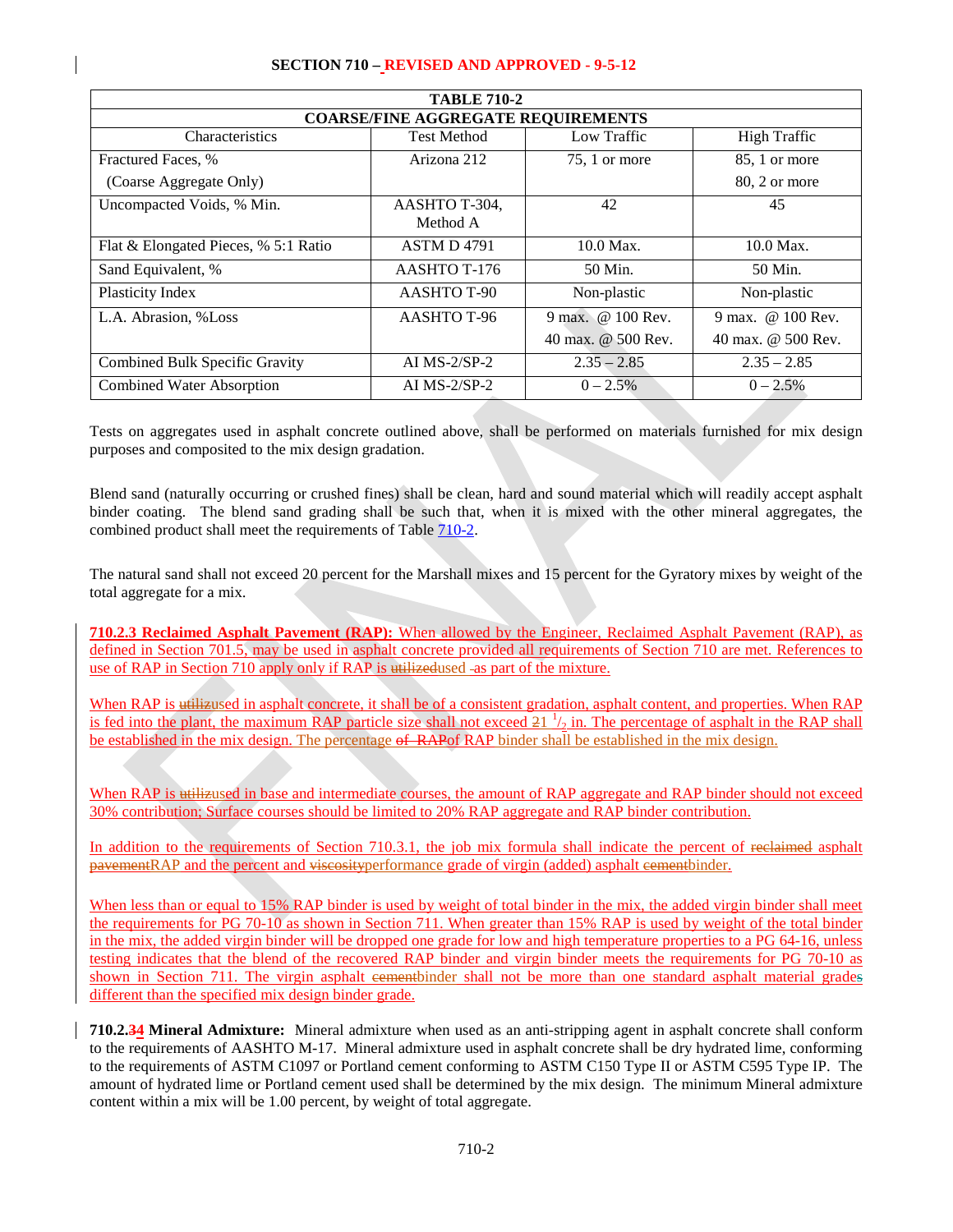| <b>TABLE 710-2</b>                        |                    |                    |                     |  |  |
|-------------------------------------------|--------------------|--------------------|---------------------|--|--|
| <b>COARSE/FINE AGGREGATE REQUIREMENTS</b> |                    |                    |                     |  |  |
| Characteristics                           | <b>Test Method</b> | Low Traffic        | <b>High Traffic</b> |  |  |
| Fractured Faces, %                        | Arizona 212        | $75, 1$ or more    | 85, 1 or more       |  |  |
| (Coarse Aggregate Only)                   |                    |                    | 80, 2 or more       |  |  |
| Uncompacted Voids, % Min.                 | AASHTO T-304,      | 42                 | 45                  |  |  |
|                                           | Method A           |                    |                     |  |  |
| Flat & Elongated Pieces, % 5:1 Ratio      | <b>ASTM D 4791</b> | 10.0 Max.          | 10.0 Max.           |  |  |
| Sand Equivalent, %                        | AASHTO T-176       | 50 Min.            | 50 Min.             |  |  |
| Plasticity Index                          | AASHTO T-90        | Non-plastic        | Non-plastic         |  |  |
| L.A. Abrasion, %Loss                      | AASHTO T-96        | 9 max. @ 100 Rev.  | 9 max. @ 100 Rev.   |  |  |
|                                           |                    | 40 max. @ 500 Rev. | 40 max. @ 500 Rev.  |  |  |
| Combined Bulk Specific Gravity            | AI $MS-2/SP-2$     | $2.35 - 2.85$      | $2.35 - 2.85$       |  |  |
| Combined Water Absorption                 | AI $MS-2/SP-2$     | $0 - 2.5\%$        | $0 - 2.5\%$         |  |  |

Tests on aggregates used in asphalt concrete outlined above, shall be performed on materials furnished for mix design purposes and composited to the mix design gradation.

Blend sand (naturally occurring or crushed fines) shall be clean, hard and sound material which will readily accept asphalt binder coating. The blend sand grading shall be such that, when it is mixed with the other mineral aggregates, the combined product shall meet the requirements of Table 710-2.

The natural sand shall not exceed 20 percent for the Marshall mixes and 15 percent for the Gyratory mixes by weight of the total aggregate for a mix.

**710.2.3 Reclaimed Asphalt Pavement (RAP):** When allowed by the Engineer, Reclaimed Asphalt Pavement (RAP), as defined in Section 701.5, may be used in asphalt concrete provided all requirements of Section 710 are met. References to use of RAP in Section 710 apply only if RAP is utilizedused -as part of the mixture.

When RAP is utilizused in asphalt concrete, it shall be of a consistent gradation, asphalt content, and properties. When RAP is fed into the plant, the maximum RAP particle size shall not exceed  $\frac{21 \frac{1}{2}}{2}$  in. The percentage of asphalt in the RAP shall be established in the mix design. The percentage of RAP binder shall be established in the mix design.

When RAP is utilizused in base and intermediate courses, the amount of RAP aggregate and RAP binder should not exceed 30% contribution; Surface courses should be limited to 20% RAP aggregate and RAP binder contribution.

In addition to the requirements of Section 710.3.1, the job mix formula shall indicate the percent of reclaimed asphalt pavementRAP and the percent and viscosityperformance grade of virgin (added) asphalt eementbinder.

When less than or equal to 15% RAP binder is used by weight of total binder in the mix, the added virgin binder shall meet the requirements for PG 70-10 as shown in Section 711. When greater than 15% RAP is used by weight of the total binder in the mix, the added virgin binder will be dropped one grade for low and high temperature properties to a PG 64-16, unless testing indicates that the blend of the recovered RAP binder and virgin binder meets the requirements for PG 70-10 as shown in Section 711. The virgin asphalt eementbinder shall not be more than one standard asphalt material grades different than the specified mix design binder grade.

**710.2.34 Mineral Admixture:** Mineral admixture when used as an anti-stripping agent in asphalt concrete shall conform to the requirements of AASHTO M-17. Mineral admixture used in asphalt concrete shall be dry hydrated lime, conforming to the requirements of ASTM C1097 or Portland cement conforming to ASTM C150 Type II or ASTM C595 Type IP. The amount of hydrated lime or Portland cement used shall be determined by the mix design. The minimum Mineral admixture content within a mix will be 1.00 percent, by weight of total aggregate.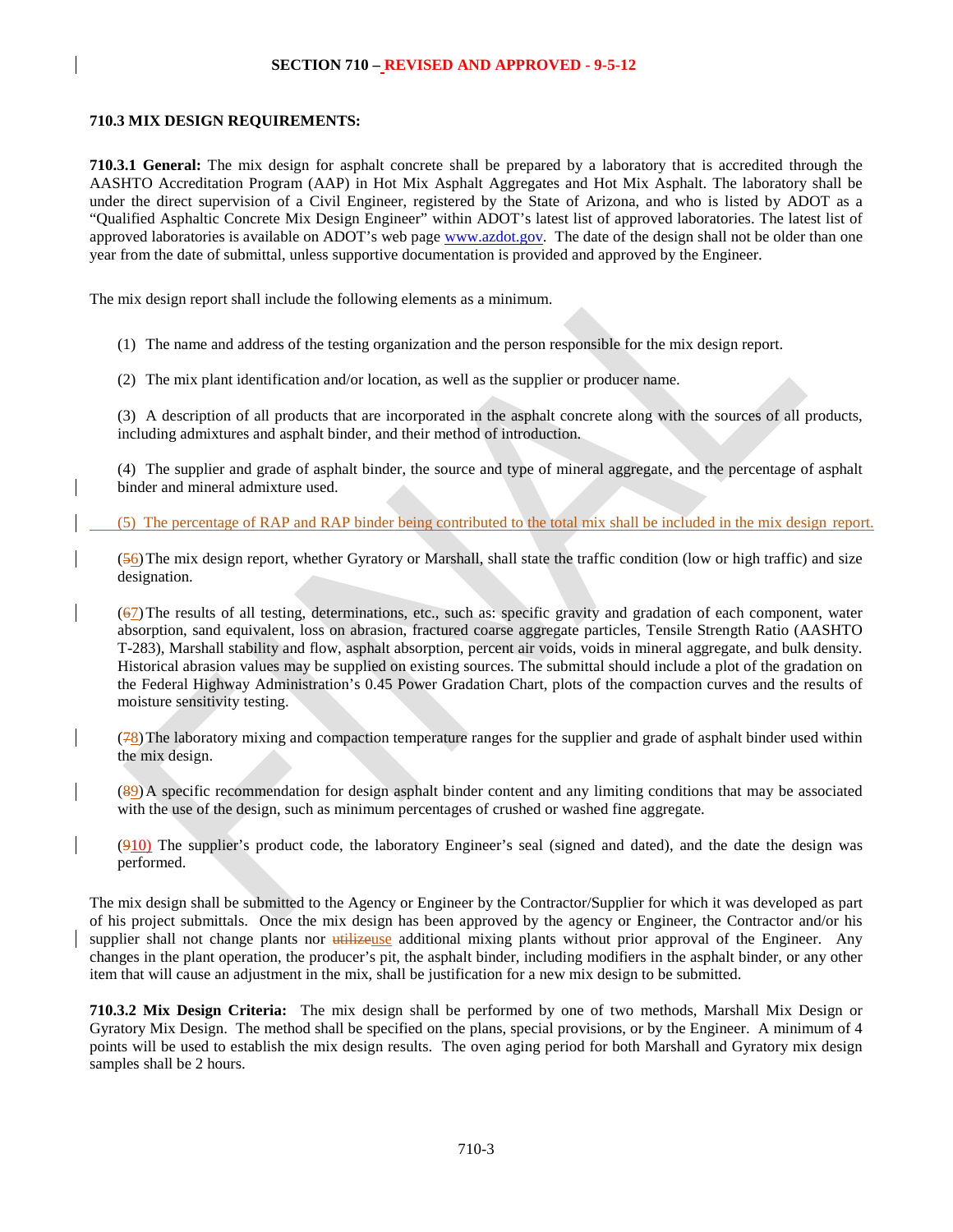## **710.3 MIX DESIGN REQUIREMENTS:**

**710.3.1 General:** The mix design for asphalt concrete shall be prepared by a laboratory that is accredited through the AASHTO Accreditation Program (AAP) in Hot Mix Asphalt Aggregates and Hot Mix Asphalt. The laboratory shall be under the direct supervision of a Civil Engineer, registered by the State of Arizona, and who is listed by ADOT as a "Qualified Asphaltic Concrete Mix Design Engineer" within ADOT's latest list of approved laboratories. The latest list of approved laboratories is available on ADOT's web pag[e www.azdot.gov.](http://www.azdot.gov/) The date of the design shall not be older than one year from the date of submittal, unless supportive documentation is provided and approved by the Engineer.

The mix design report shall include the following elements as a minimum.

(1) The name and address of the testing organization and the person responsible for the mix design report.

(2) The mix plant identification and/or location, as well as the supplier or producer name.

(3) A description of all products that are incorporated in the asphalt concrete along with the sources of all products, including admixtures and asphalt binder, and their method of introduction.

(4) The supplier and grade of asphalt binder, the source and type of mineral aggregate, and the percentage of asphalt binder and mineral admixture used.

(5) The percentage of RAP and RAP binder being contributed to the total mix shall be included in the mix design report.

(56)The mix design report, whether Gyratory or Marshall, shall state the traffic condition (low or high traffic) and size designation.

(67)The results of all testing, determinations, etc., such as: specific gravity and gradation of each component, water absorption, sand equivalent, loss on abrasion, fractured coarse aggregate particles, Tensile Strength Ratio (AASHTO T-283), Marshall stability and flow, asphalt absorption, percent air voids, voids in mineral aggregate, and bulk density. Historical abrasion values may be supplied on existing sources. The submittal should include a plot of the gradation on the Federal Highway Administration's 0.45 Power Gradation Chart, plots of the compaction curves and the results of moisture sensitivity testing.

 $(78)$ The laboratory mixing and compaction temperature ranges for the supplier and grade of asphalt binder used within the mix design.

(89)A specific recommendation for design asphalt binder content and any limiting conditions that may be associated with the use of the design, such as minimum percentages of crushed or washed fine aggregate.

 $(910)$  The supplier's product code, the laboratory Engineer's seal (signed and dated), and the date the design was performed.

The mix design shall be submitted to the Agency or Engineer by the Contractor/Supplier for which it was developed as part of his project submittals. Once the mix design has been approved by the agency or Engineer, the Contractor and/or his supplier shall not change plants nor utilizeuse additional mixing plants without prior approval of the Engineer. Any changes in the plant operation, the producer's pit, the asphalt binder, including modifiers in the asphalt binder, or any other item that will cause an adjustment in the mix, shall be justification for a new mix design to be submitted.

**710.3.2 Mix Design Criteria:** The mix design shall be performed by one of two methods, Marshall Mix Design or Gyratory Mix Design. The method shall be specified on the plans, special provisions, or by the Engineer. A minimum of 4 points will be used to establish the mix design results. The oven aging period for both Marshall and Gyratory mix design samples shall be 2 hours.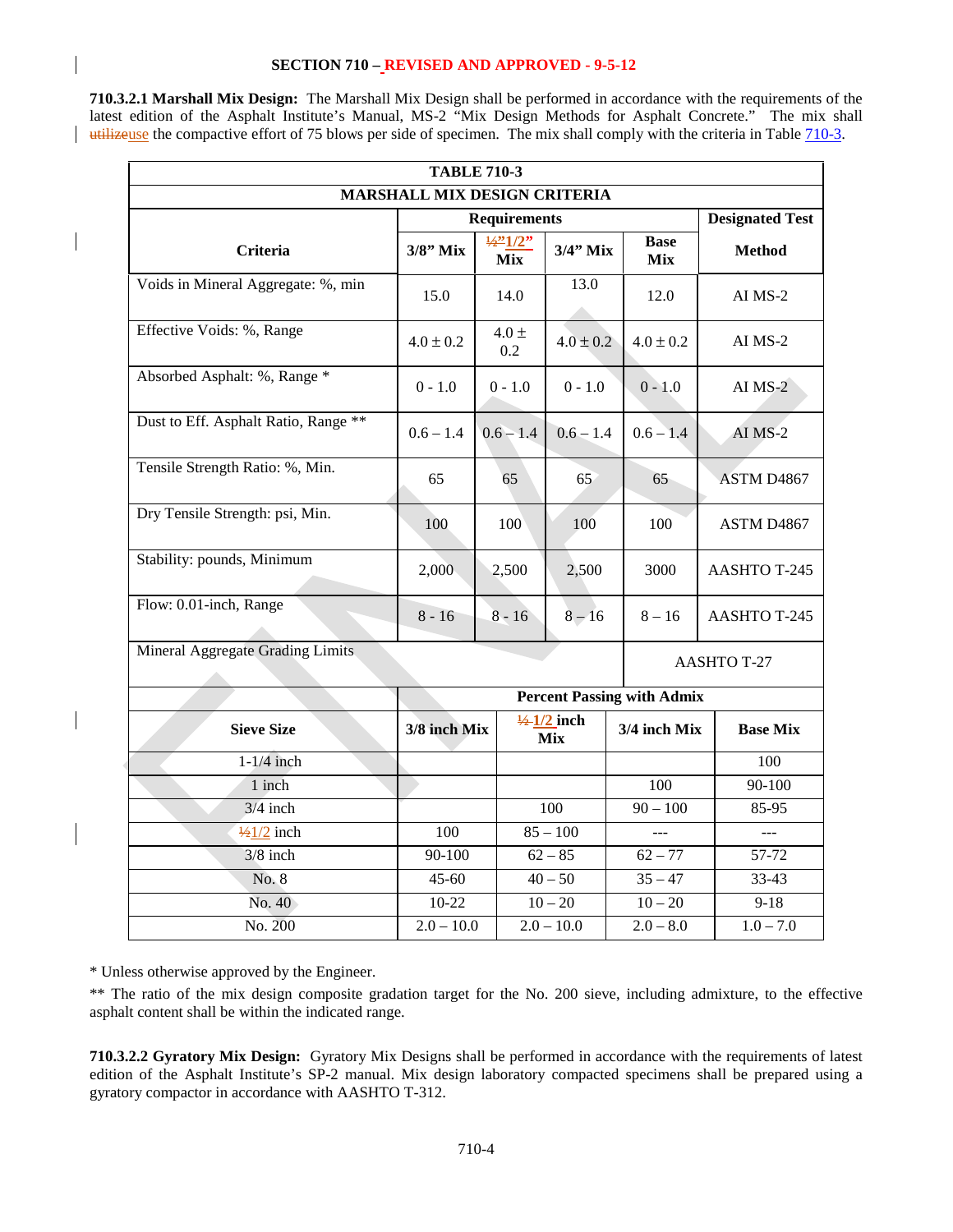**710.3.2.1 Marshall Mix Design:** The Marshall Mix Design shall be performed in accordance with the requirements of the latest edition of the Asphalt Institute's Manual, MS-2 "Mix Design Methods for Asphalt Concrete." The mix shall utilizeuse the compactive effort of 75 blows per side of specimen. The mix shall comply with the criteria in Table 710-3.

| <b>TABLE 710-3</b>                   |                                   |                                   |                                      |                    |                 |  |
|--------------------------------------|-----------------------------------|-----------------------------------|--------------------------------------|--------------------|-----------------|--|
|                                      | MARSHALL MIX DESIGN CRITERIA      |                                   |                                      |                    |                 |  |
|                                      | <b>Requirements</b>               |                                   |                                      |                    |                 |  |
| <b>Criteria</b>                      | $3/8"$ Mix                        | $\frac{1}{2}$ 1/2"<br><b>Mix</b>  | $3/4$ " Mix                          | <b>Base</b><br>Mix | <b>Method</b>   |  |
| Voids in Mineral Aggregate: %, min   | 15.0                              | 13.0<br>14.0                      |                                      | 12.0               | AI MS-2         |  |
| Effective Voids: %, Range            | $4.0 \pm 0.2$                     | $4.0 \pm$<br>$4.0 \pm 0.2$<br>0.2 |                                      | $4.0 \pm 0.2$      | AI MS-2         |  |
| Absorbed Asphalt: %, Range *         | $0 - 1.0$                         | $0 - 1.0$                         | $0 - 1.0$                            | $0 - 1.0$          | AI $MS-2$       |  |
| Dust to Eff. Asphalt Ratio, Range ** | $0.6 - 1.4$                       |                                   | $0.6 - 1.4$                          | $0.6 - 1.4$        | AI MS-2         |  |
| Tensile Strength Ratio: %, Min.      | 65                                | 65                                | 65                                   | 65                 | ASTM D4867      |  |
| Dry Tensile Strength: psi, Min.      | 100                               | 100                               | 100                                  | 100                | ASTM D4867      |  |
| Stability: pounds, Minimum           | 2,000                             | 2,500                             | 2,500                                | 3000               | AASHTO T-245    |  |
| Flow: 0.01-inch, Range               | $8 - 16$                          | $8 - 16$                          | $8 - 16$                             | $8 - 16$           | AASHTO T-245    |  |
| Mineral Aggregate Grading Limits     |                                   | <b>AASHTO T-27</b>                |                                      |                    |                 |  |
|                                      |                                   |                                   |                                      |                    |                 |  |
|                                      | <b>Percent Passing with Admix</b> |                                   |                                      |                    |                 |  |
| <b>Sieve Size</b>                    | 3/8 inch Mix                      |                                   | $\frac{1}{2}$ 1/2 inch<br><b>Mix</b> | 3/4 inch Mix       | <b>Base Mix</b> |  |
| $1-1/4$ inch                         |                                   |                                   |                                      |                    | 100             |  |
| 1 inch                               |                                   |                                   |                                      | 100                | 90-100          |  |
| $3/4$ inch                           |                                   |                                   | 100                                  | $90 - 100$         | 85-95           |  |
| $\frac{1}{2}$ /2 inch<br>100         |                                   |                                   | $85 - 100$                           |                    | $\overline{a}$  |  |
| $3/8$ inch                           | 90-100                            |                                   | $62 - 85$                            | $62 - 77$          | 57-72           |  |
| No. 8                                | $45 - 60$                         |                                   | $40 - 50$                            | $35 - 47$          | 33-43           |  |
| No. 40                               | $10-22$                           |                                   | $10 - 20$                            | $10 - 20$          | $9-18$          |  |
| No. 200                              | $2.0 - 10.0$                      |                                   | $2.0 - 10.0$                         | $2.0 - 8.0$        | $1.0 - 7.0$     |  |

\* Unless otherwise approved by the Engineer.

\*\* The ratio of the mix design composite gradation target for the No. 200 sieve, including admixture, to the effective asphalt content shall be within the indicated range.

**710.3.2.2 Gyratory Mix Design:** Gyratory Mix Designs shall be performed in accordance with the requirements of latest edition of the Asphalt Institute's SP-2 manual. Mix design laboratory compacted specimens shall be prepared using a gyratory compactor in accordance with AASHTO T-312.